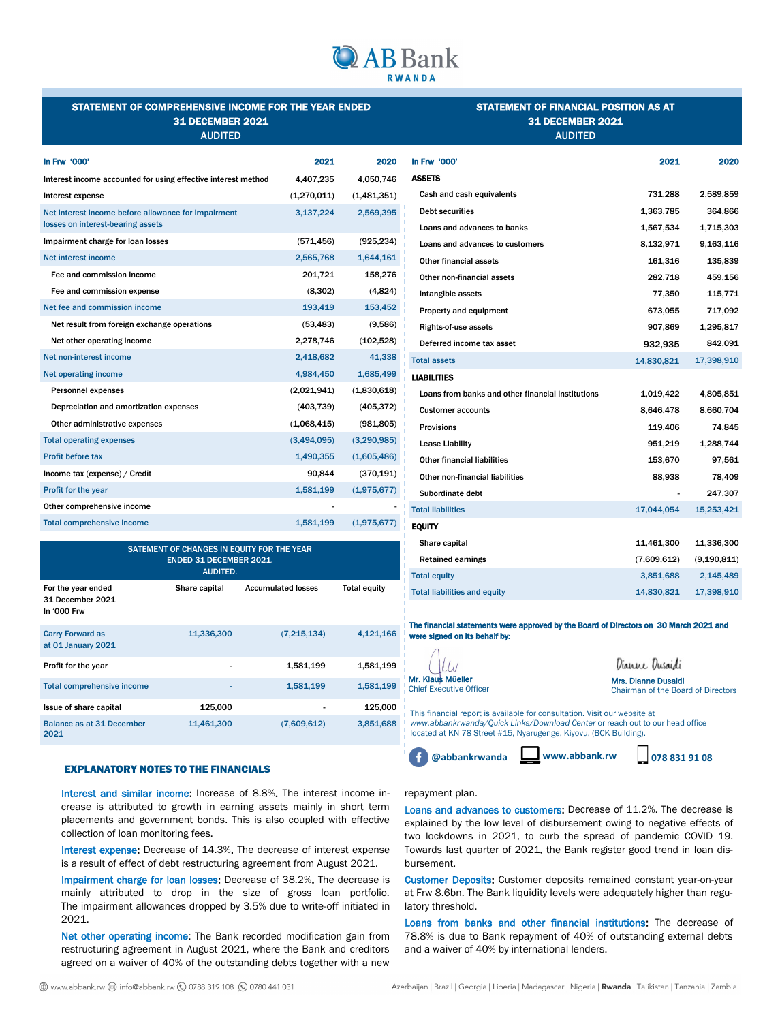

# STATEMENT OF COMPREHENSIVE INCOME FOR THE YEAR ENDED 31 DECEMBER 2021 AUDITED

# STATEMENT OF FINANCIAL POSITION AS AT 31 DECEMBER 2021 AUDITED

| In Frw '000'                                                                             | 2021        | 2020        |
|------------------------------------------------------------------------------------------|-------------|-------------|
| Interest income accounted for using effective interest method                            | 4,407,235   | 4,050,746   |
| Interest expense                                                                         | (1,270,011) | (1,481,351) |
| Net interest income before allowance for impairment<br>losses on interest-bearing assets | 3,137,224   | 2,569,395   |
| Impairment charge for loan losses                                                        | (571, 456)  | (925, 234)  |
| Net interest income                                                                      | 2,565,768   | 1,644,161   |
| Fee and commission income                                                                | 201,721     | 158,276     |
| Fee and commission expense                                                               | (8,302)     | (4,824)     |
| Net fee and commission income                                                            | 193,419     | 153,452     |
| Net result from foreign exchange operations                                              | (53, 483)   | (9,586)     |
| Net other operating income                                                               | 2,278,746   | (102, 528)  |
| Net non-interest income                                                                  | 2,418,682   | 41,338      |
| <b>Net operating income</b>                                                              | 4,984,450   | 1,685,499   |
| <b>Personnel expenses</b>                                                                | (2,021,941) | (1,830,618) |
| Depreciation and amortization expenses                                                   | (403, 739)  | (405, 372)  |
| Other administrative expenses                                                            | (1,068,415) | (981, 805)  |
| <b>Total operating expenses</b>                                                          | (3,494,095) | (3,290,985) |
| <b>Profit before tax</b>                                                                 | 1,490,355   | (1,605,486) |
| Income tax (expense) / Credit                                                            | 90,844      | (370, 191)  |
| Profit for the year                                                                      | 1,581,199   | (1,975,677) |
| Other comprehensive income                                                               |             |             |
| <b>Total comprehensive income</b>                                                        | 1,581,199   | (1,975,677) |
|                                                                                          |             |             |

| SATEMENT OF CHANGES IN EQUITY FOR THE YEAR<br><b>ENDED 31 DECEMBER 2021.</b><br><b>AUDITED.</b> |               |                           |                     |  |
|-------------------------------------------------------------------------------------------------|---------------|---------------------------|---------------------|--|
| For the year ended<br>31 December 2021<br>In '000 Frw                                           | Share capital | <b>Accumulated losses</b> | <b>Total equity</b> |  |
| <b>Carry Forward as</b><br>at 01 January 2021                                                   | 11,336,300    | (7,215,134)               | 4,121,166           |  |
| Profit for the year                                                                             | ۰             | 1,581,199                 | 1,581,199           |  |
| <b>Total comprehensive income</b>                                                               | ۰             | 1,581,199                 | 1,581,199           |  |
| Issue of share capital                                                                          | 125,000       |                           | 125,000             |  |
| <b>Balance as at 31 December</b><br>2021                                                        | 11,461,300    | (7,609,612)               | 3,851,688           |  |

#### EXPLANATORY NOTES TO THE FINANCIALS

Interest and similar income: Increase of 8.8%. The interest income increase is attributed to growth in earning assets mainly in short term placements and government bonds. This is also coupled with effective collection of loan monitoring fees.

Interest expense: Decrease of 14.3%. The decrease of interest expense is a result of effect of debt restructuring agreement from August 2021.

Impairment charge for loan losses: Decrease of 38.2%. The decrease is mainly attributed to drop in the size of gross loan portfolio. The impairment allowances dropped by 3.5% due to write-off initiated in 2021.

Net other operating income: The Bank recorded modification gain from restructuring agreement in August 2021, where the Bank and creditors agreed on a waiver of 40% of the outstanding debts together with a new

| In Frw '000'                                      | 2021        | 2020          |
|---------------------------------------------------|-------------|---------------|
| <b>ASSETS</b>                                     |             |               |
| Cash and cash equivalents                         | 731,288     | 2,589,859     |
| <b>Debt securities</b>                            | 1,363,785   | 364,866       |
| Loans and advances to banks                       | 1,567,534   | 1,715,303     |
| Loans and advances to customers                   | 8,132,971   | 9,163,116     |
| Other financial assets                            | 161,316     | 135,839       |
| Other non-financial assets                        | 282,718     | 459,156       |
| Intangible assets                                 | 77,350      | 115,771       |
| Property and equipment                            | 673,055     | 717,092       |
| <b>Rights-of-use assets</b>                       | 907,869     | 1,295,817     |
| Deferred income tax asset                         | 932,935     | 842,091       |
| <b>Total assets</b>                               | 14,830,821  | 17,398,910    |
| <b>LIABILITIES</b>                                |             |               |
| Loans from banks and other financial institutions | 1,019,422   | 4,805,851     |
| <b>Customer accounts</b>                          | 8,646,478   | 8,660,704     |
| <b>Provisions</b>                                 | 119,406     | 74,845        |
| <b>Lease Liability</b>                            | 951,219     | 1,288,744     |
| <b>Other financial liabilities</b>                | 153,670     | 97,561        |
| Other non-financial liabilities                   | 88,938      | 78,409        |
| Subordinate debt                                  |             | 247,307       |
| <b>Total liabilities</b>                          | 17,044,054  | 15,253,421    |
| <b>EQUITY</b>                                     |             |               |
| Share capital                                     | 11,461,300  | 11,336,300    |
| <b>Retained earnings</b>                          | (7,609,612) | (9, 190, 811) |
| <b>Total equity</b>                               | 3,851,688   | 2,145,489     |
| <b>Total liabilities and equity</b>               | 14,830,821  | 17,398,910    |
|                                                   |             |               |

The financial statements were approved by the Board of Directors on 30 March 2021 and were signed on its behalf by:

|                                                                                                                                                                                                                               | Dianne Dusaidi                                                   |
|-------------------------------------------------------------------------------------------------------------------------------------------------------------------------------------------------------------------------------|------------------------------------------------------------------|
| Mr. Klaus Müeller<br><b>Chief Executive Officer</b>                                                                                                                                                                           | Mrs. Dianne Dusaidi<br><b>Chairman of the Board of Directors</b> |
| This financial report is available for consultation. Visit our website at<br>www.abbankrwanda/Quick Links/Download Center or reach out to our head office<br>located at KN 78 Street #15, Nyarugenge, Kiyovu, (BCK Building). |                                                                  |

 $\bigwedge$ 

**@abbankrwanda www.abbank.rw 078 831 91 08**

## repayment plan.

Loans and advances to customers: Decrease of 11.2%. The decrease is explained by the low level of disbursement owing to negative effects of two lockdowns in 2021, to curb the spread of pandemic COVID 19. Towards last quarter of 2021, the Bank register good trend in loan disbursement.

Customer Deposits: Customer deposits remained constant year-on-year at Frw 8.6bn. The Bank liquidity levels were adequately higher than regulatory threshold.

Loans from banks and other financial institutions: The decrease of 78.8% is due to Bank repayment of 40% of outstanding external debts and a waiver of 40% by international lenders.